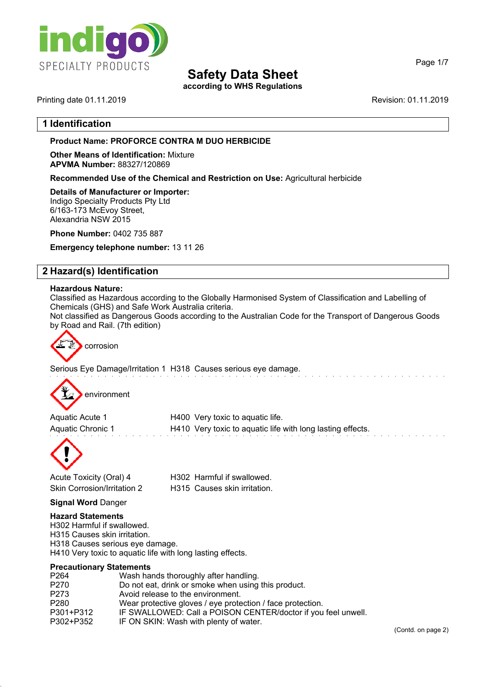

**according to WHS Regulations**

Printing date 01.11.2019 **Revision: 01.11.2019** Revision: 01.11.2019

Page 1/7

### **1 Identification**

#### **Product Name: PROFORCE CONTRA M DUO HERBICIDE**

**Other Means of Identification:** Mixture **APVMA Number:** 88327/120869

**Recommended Use of the Chemical and Restriction on Use:** Agricultural herbicide

#### **Details of Manufacturer or Importer:**

Indigo Specialty Products Pty Ltd 6/163-173 McEvoy Street, Alexandria NSW 2015

**Phone Number:** 0402 735 887

**Emergency telephone number:** 13 11 26

## **2 Hazard(s) Identification**

#### **Hazardous Nature:**

Classified as Hazardous according to the Globally Harmonised System of Classification and Labelling of Chemicals (GHS) and Safe Work Australia criteria.

Not classified as Dangerous Goods according to the Australian Code for the Transport of Dangerous Goods by Road and Rail. (7th edition)



Serious Eye Damage/Irritation 1 H318 Causes serious eye damage.



| Aquatic Acute 1   | H400 Very toxic to aquatic life.                           |
|-------------------|------------------------------------------------------------|
| Aquatic Chronic 1 | H410 Very toxic to aquatic life with long lasting effects. |



Acute Toxicity (Oral) 4 H302 Harmful if swallowed. Skin Corrosion/Irritation 2 H315 Causes skin irritation.

#### **Signal Word** Danger

#### **Hazard Statements**

H302 Harmful if swallowed. H315 Causes skin irritation. H318 Causes serious eye damage. H410 Very toxic to aquatic life with long lasting effects.

#### **Precautionary Statements**

| P <sub>264</sub> | Wash hands thoroughly after handling.                         |
|------------------|---------------------------------------------------------------|
| P270             | Do not eat, drink or smoke when using this product.           |
| P273             | Avoid release to the environment.                             |
| P280             | Wear protective gloves / eye protection / face protection.    |
| P301+P312        | IF SWALLOWED: Call a POISON CENTER/doctor if you feel unwell. |
| P302+P352        | IF ON SKIN: Wash with plenty of water.                        |
|                  |                                                               |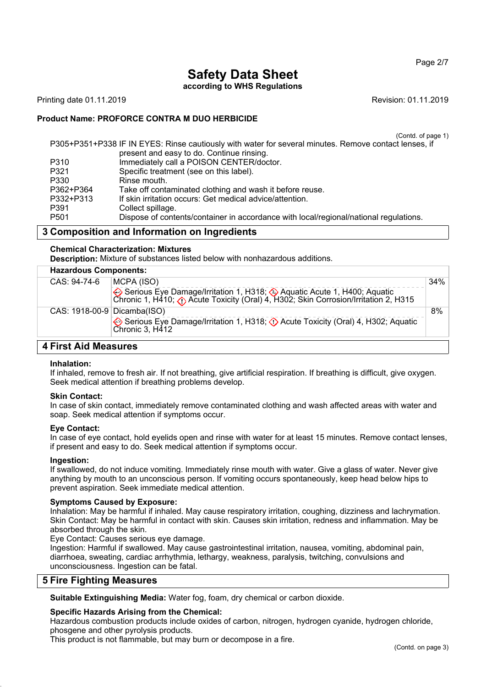Page 2/7

# **Safety Data Sheet**

**according to WHS Regulations**

Printing date 01.11.2019 **Revision: 01.11.2019** Revision: 01.11.2019

## **Product Name: PROFORCE CONTRA M DUO HERBICIDE**

(Contd. of page 1)

| P305+P351+P338 IF IN EYES: Rinse cautiously with water for several minutes. Remove contact lenses, if |                                                                                       |  |
|-------------------------------------------------------------------------------------------------------|---------------------------------------------------------------------------------------|--|
|                                                                                                       | present and easy to do. Continue rinsing.                                             |  |
| P310                                                                                                  | Immediately call a POISON CENTER/doctor.                                              |  |
| P321                                                                                                  | Specific treatment (see on this label).                                               |  |
| P330                                                                                                  | Rinse mouth.                                                                          |  |
| P362+P364                                                                                             | Take off contaminated clothing and wash it before reuse.                              |  |
| P332+P313                                                                                             | If skin irritation occurs: Get medical advice/attention.                              |  |
| P391                                                                                                  | Collect spillage.                                                                     |  |
| P <sub>501</sub>                                                                                      | Dispose of contents/container in accordance with local/regional/national regulations. |  |
|                                                                                                       |                                                                                       |  |

## **3 Composition and Information on Ingredients**

#### **Chemical Characterization: Mixtures**

**Description:** Mixture of substances listed below with nonhazardous additions.

|              | <b>Hazardous Components:</b> |                                                                                                                                                                    |     |
|--------------|------------------------------|--------------------------------------------------------------------------------------------------------------------------------------------------------------------|-----|
| CAS: 94-74-6 |                              | MCPA (ISO)                                                                                                                                                         | 34% |
|              |                              | Serious Eye Damage/Irritation 1, H318; Aquatic Acute 1, H400; Aquatic Chronic 1, H410; $\bigcirc$ Acute Toxicity (Oral) 4, H302; Skin Corrosion/Irritation 2, H315 |     |
|              | CAS: 1918-00-9 Dicamba(ISO)  |                                                                                                                                                                    | 8%  |
|              |                              | Serious Eye Damage/Irritation 1, H318; $\Diamond$ Acute Toxicity (Oral) 4, H302; Aquatic<br>Chronic 3, H412                                                        |     |

## **4 First Aid Measures**

#### **Inhalation:**

If inhaled, remove to fresh air. If not breathing, give artificial respiration. If breathing is difficult, give oxygen. Seek medical attention if breathing problems develop.

#### **Skin Contact:**

In case of skin contact, immediately remove contaminated clothing and wash affected areas with water and soap. Seek medical attention if symptoms occur.

#### **Eye Contact:**

In case of eye contact, hold eyelids open and rinse with water for at least 15 minutes. Remove contact lenses, if present and easy to do. Seek medical attention if symptoms occur.

#### **Ingestion:**

If swallowed, do not induce vomiting. Immediately rinse mouth with water. Give a glass of water. Never give anything by mouth to an unconscious person. If vomiting occurs spontaneously, keep head below hips to prevent aspiration. Seek immediate medical attention.

#### **Symptoms Caused by Exposure:**

Inhalation: May be harmful if inhaled. May cause respiratory irritation, coughing, dizziness and lachrymation. Skin Contact: May be harmful in contact with skin. Causes skin irritation, redness and inflammation. May be absorbed through the skin.

Eye Contact: Causes serious eye damage.

Ingestion: Harmful if swallowed. May cause gastrointestinal irritation, nausea, vomiting, abdominal pain, diarrhoea, sweating, cardiac arrhythmia, lethargy, weakness, paralysis, twitching, convulsions and unconsciousness. Ingestion can be fatal.

#### **5 Fire Fighting Measures**

**Suitable Extinguishing Media:** Water fog, foam, dry chemical or carbon dioxide.

#### **Specific Hazards Arising from the Chemical:**

Hazardous combustion products include oxides of carbon, nitrogen, hydrogen cyanide, hydrogen chloride, phosgene and other pyrolysis products.

This product is not flammable, but may burn or decompose in a fire.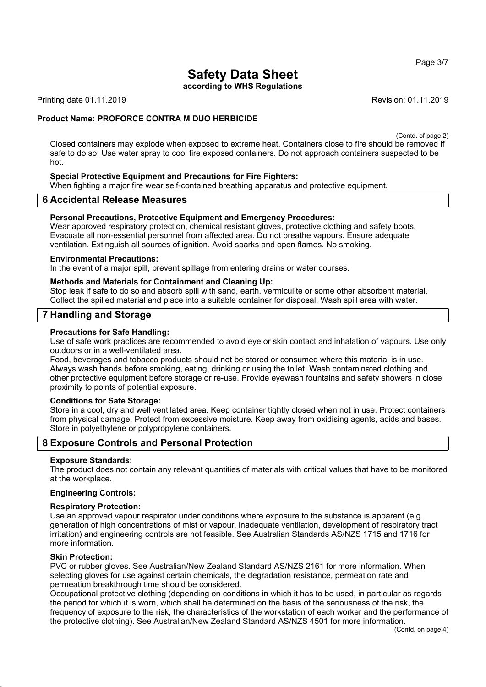**according to WHS Regulations**

Printing date 01.11.2019 **Revision: 01.11.2019** Revision: 01.11.2019

#### **Product Name: PROFORCE CONTRA M DUO HERBICIDE**

(Contd. of page 2)

Closed containers may explode when exposed to extreme heat. Containers close to fire should be removed if safe to do so. Use water spray to cool fire exposed containers. Do not approach containers suspected to be hot.

#### **Special Protective Equipment and Precautions for Fire Fighters:**

When fighting a major fire wear self-contained breathing apparatus and protective equipment.

#### **6 Accidental Release Measures**

#### **Personal Precautions, Protective Equipment and Emergency Procedures:**

Wear approved respiratory protection, chemical resistant gloves, protective clothing and safety boots. Evacuate all non-essential personnel from affected area. Do not breathe vapours. Ensure adequate ventilation. Extinguish all sources of ignition. Avoid sparks and open flames. No smoking.

#### **Environmental Precautions:**

In the event of a major spill, prevent spillage from entering drains or water courses.

#### **Methods and Materials for Containment and Cleaning Up:**

Stop leak if safe to do so and absorb spill with sand, earth, vermiculite or some other absorbent material. Collect the spilled material and place into a suitable container for disposal. Wash spill area with water.

#### **7 Handling and Storage**

#### **Precautions for Safe Handling:**

Use of safe work practices are recommended to avoid eye or skin contact and inhalation of vapours. Use only outdoors or in a well-ventilated area.

Food, beverages and tobacco products should not be stored or consumed where this material is in use. Always wash hands before smoking, eating, drinking or using the toilet. Wash contaminated clothing and other protective equipment before storage or re-use. Provide eyewash fountains and safety showers in close proximity to points of potential exposure.

#### **Conditions for Safe Storage:**

Store in a cool, dry and well ventilated area. Keep container tightly closed when not in use. Protect containers from physical damage. Protect from excessive moisture. Keep away from oxidising agents, acids and bases. Store in polyethylene or polypropylene containers.

#### **8 Exposure Controls and Personal Protection**

#### **Exposure Standards:**

The product does not contain any relevant quantities of materials with critical values that have to be monitored at the workplace.

#### **Engineering Controls:**

#### **Respiratory Protection:**

Use an approved vapour respirator under conditions where exposure to the substance is apparent (e.g. generation of high concentrations of mist or vapour, inadequate ventilation, development of respiratory tract irritation) and engineering controls are not feasible. See Australian Standards AS/NZS 1715 and 1716 for more information.

#### **Skin Protection:**

PVC or rubber gloves. See Australian/New Zealand Standard AS/NZS 2161 for more information. When selecting gloves for use against certain chemicals, the degradation resistance, permeation rate and permeation breakthrough time should be considered.

Occupational protective clothing (depending on conditions in which it has to be used, in particular as regards the period for which it is worn, which shall be determined on the basis of the seriousness of the risk, the frequency of exposure to the risk, the characteristics of the workstation of each worker and the performance of the protective clothing). See Australian/New Zealand Standard AS/NZS 4501 for more information.

Page 3/7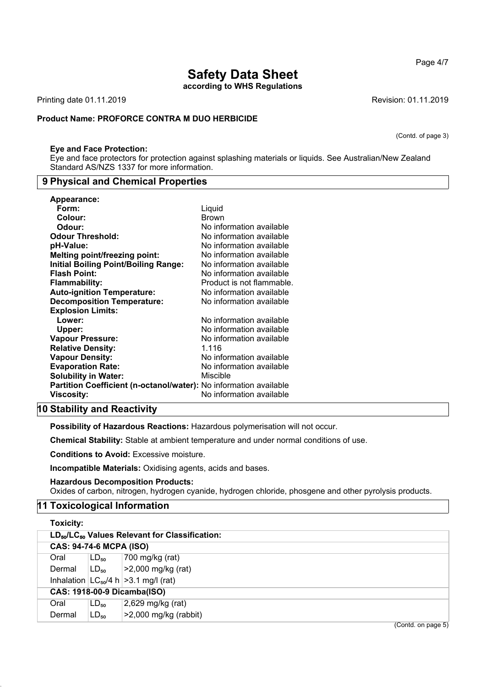**according to WHS Regulations**

Printing date 01.11.2019 **Revision: 01.11.2019** 

## **Product Name: PROFORCE CONTRA M DUO HERBICIDE**

## **Eye and Face Protection:**

Eye and face protectors for protection against splashing materials or liquids. See Australian/New Zealand Standard AS/NZS 1337 for more information.

## **9 Physical and Chemical Properties**

| <b>Appearance:</b>                                                |                           |
|-------------------------------------------------------------------|---------------------------|
| Form:                                                             | Liquid                    |
| Colour:                                                           | <b>Brown</b>              |
| Odour:                                                            | No information available  |
| <b>Odour Threshold:</b>                                           | No information available  |
| pH-Value:                                                         | No information available  |
| <b>Melting point/freezing point:</b>                              | No information available  |
| <b>Initial Boiling Point/Boiling Range:</b>                       | No information available  |
| <b>Flash Point:</b>                                               | No information available  |
| <b>Flammability:</b>                                              | Product is not flammable. |
| <b>Auto-ignition Temperature:</b>                                 | No information available  |
| <b>Decomposition Temperature:</b>                                 | No information available  |
| <b>Explosion Limits:</b>                                          |                           |
| Lower:                                                            | No information available  |
| Upper:                                                            | No information available  |
| <b>Vapour Pressure:</b>                                           | No information available  |
| <b>Relative Density:</b>                                          | 1.116                     |
| <b>Vapour Density:</b>                                            | No information available  |
| <b>Evaporation Rate:</b>                                          | No information available  |
| <b>Solubility in Water:</b>                                       | Miscible                  |
| Partition Coefficient (n-octanol/water): No information available |                           |
| Viscosity:                                                        | No information available  |

## **10 Stability and Reactivity**

**Possibility of Hazardous Reactions:** Hazardous polymerisation will not occur.

**Chemical Stability:** Stable at ambient temperature and under normal conditions of use.

**Conditions to Avoid:** Excessive moisture.

**Incompatible Materials:** Oxidising agents, acids and bases.

**Hazardous Decomposition Products:**

Oxides of carbon, nitrogen, hydrogen cyanide, hydrogen chloride, phosgene and other pyrolysis products.

## **11 Toxicological Information**

| <b>Toxicity:</b>                   |           |                                                                        |
|------------------------------------|-----------|------------------------------------------------------------------------|
|                                    |           | LD <sub>50</sub> /LC <sub>50</sub> Values Relevant for Classification: |
| <b>CAS: 94-74-6 MCPA (ISO)</b>     |           |                                                                        |
| Oral                               | $LD_{50}$ | 700 mg/kg (rat)                                                        |
| Dermal                             | $LD_{50}$ | >2,000 mg/kg (rat)                                                     |
|                                    |           | Inhalation $ LC_{50}/4 h  > 3.1 mg/l$ (rat)                            |
| <b>CAS: 1918-00-9 Dicamba(ISO)</b> |           |                                                                        |
| Oral                               | $LD_{50}$ | 2,629 mg/kg (rat)                                                      |
| Dermal                             | $LD_{50}$ | $>2,000$ mg/kg (rabbit)                                                |

Page 4/7

(Contd. of page 3)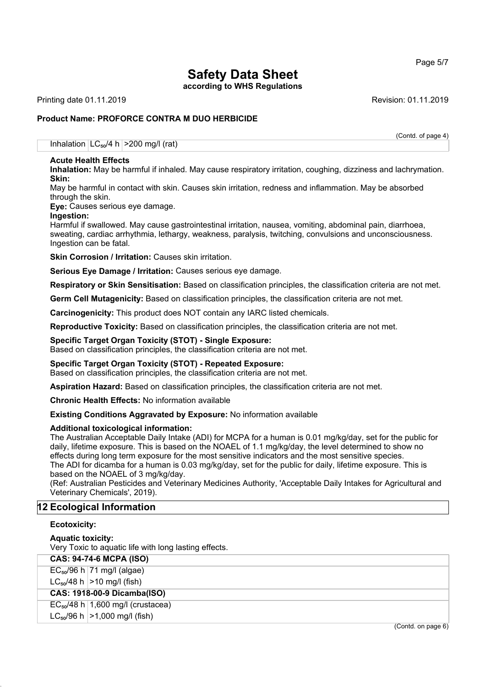Page 5/7

# **Safety Data Sheet**

**according to WHS Regulations**

Printing date 01.11.2019 **Revision: 01.11.2019** Revision: 01.11.2019

## **Product Name: PROFORCE CONTRA M DUO HERBICIDE**

(Contd. of page 4)

Inhalation  $LC_{50}/4 h$  >200 mg/l (rat)

#### **Acute Health Effects**

**Inhalation:** May be harmful if inhaled. May cause respiratory irritation, coughing, dizziness and lachrymation. **Skin:**

May be harmful in contact with skin. Causes skin irritation, redness and inflammation. May be absorbed through the skin.

**Eye:** Causes serious eye damage.

#### **Ingestion:**

Harmful if swallowed. May cause gastrointestinal irritation, nausea, vomiting, abdominal pain, diarrhoea, sweating, cardiac arrhythmia, lethargy, weakness, paralysis, twitching, convulsions and unconsciousness. Ingestion can be fatal.

**Skin Corrosion / Irritation: Causes skin irritation.** 

**Serious Eye Damage / Irritation:** Causes serious eye damage.

**Respiratory or Skin Sensitisation:** Based on classification principles, the classification criteria are not met.

**Germ Cell Mutagenicity:** Based on classification principles, the classification criteria are not met.

**Carcinogenicity:** This product does NOT contain any IARC listed chemicals.

**Reproductive Toxicity:** Based on classification principles, the classification criteria are not met.

#### **Specific Target Organ Toxicity (STOT) - Single Exposure:**

Based on classification principles, the classification criteria are not met.

## **Specific Target Organ Toxicity (STOT) - Repeated Exposure:**

Based on classification principles, the classification criteria are not met.

**Aspiration Hazard:** Based on classification principles, the classification criteria are not met.

**Chronic Health Effects:** No information available

#### **Existing Conditions Aggravated by Exposure:** No information available

#### **Additional toxicological information:**

The Australian Acceptable Daily Intake (ADI) for MCPA for a human is 0.01 mg/kg/day, set for the public for daily, lifetime exposure. This is based on the NOAEL of 1.1 mg/kg/day, the level determined to show no effects during long term exposure for the most sensitive indicators and the most sensitive species. The ADI for dicamba for a human is 0.03 mg/kg/day, set for the public for daily, lifetime exposure. This is based on the NOAEL of 3 mg/kg/day.

(Ref: Australian Pesticides and Veterinary Medicines Authority, 'Acceptable Daily Intakes for Agricultural and Veterinary Chemicals', 2019).

## **12 Ecological Information**

#### **Ecotoxicity:**

#### **Aquatic toxicity:**

Very Toxic to aquatic life with long lasting effects.

| <b>CAS: 94-74-6 MCPA (ISO)</b> |
|--------------------------------|
|                                |

 $EC_{50}/96$  h  $71$  mg/l (algae)

 $LC_{50}/48$  h  $>10$  mg/l (fish)

#### **CAS: 1918-00-9 Dicamba(ISO)**

 $EC_{50}/48$  h 1,600 mg/l (crustacea)

 $LC_{50}/96$  h  $>1,000$  mg/l (fish)

(Contd. on page 6)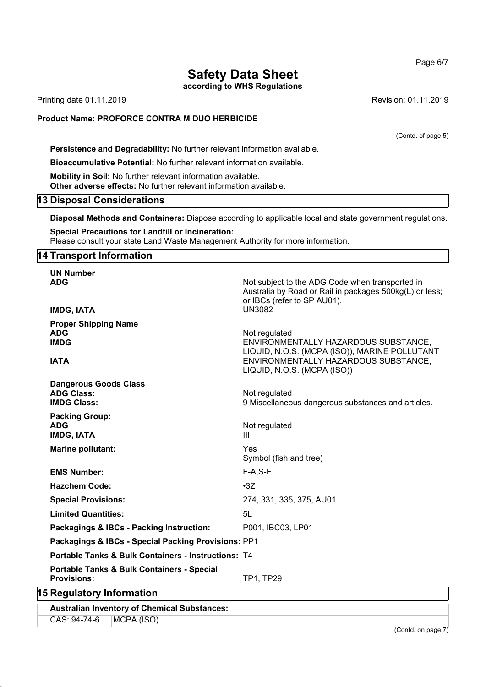**according to WHS Regulations**

Printing date 01.11.2019 **Revision: 01.11.2019** 

#### **Product Name: PROFORCE CONTRA M DUO HERBICIDE**

(Contd. of page 5)

**Persistence and Degradability:** No further relevant information available.

**Bioaccumulative Potential:** No further relevant information available.

**Mobility in Soil:** No further relevant information available. **Other adverse effects:** No further relevant information available.

### **13 Disposal Considerations**

**Disposal Methods and Containers:** Dispose according to applicable local and state government regulations.

**Special Precautions for Landfill or Incineration:** Please consult your state Land Waste Management Authority for more information.

#### **14 Transport Information**

| <b>UN Number</b>                                                        |                                                                                                                                                                               |
|-------------------------------------------------------------------------|-------------------------------------------------------------------------------------------------------------------------------------------------------------------------------|
| <b>ADG</b>                                                              | Not subject to the ADG Code when transported in<br>Australia by Road or Rail in packages 500kg(L) or less;<br>or IBCs (refer to SP AU01).                                     |
| <b>IMDG, IATA</b>                                                       | <b>UN3082</b>                                                                                                                                                                 |
| <b>Proper Shipping Name</b><br><b>ADG</b><br><b>IMDG</b><br><b>IATA</b> | Not regulated<br>ENVIRONMENTALLY HAZARDOUS SUBSTANCE,<br>LIQUID, N.O.S. (MCPA (ISO)), MARINE POLLUTANT<br>ENVIRONMENTALLY HAZARDOUS SUBSTANCE,<br>LIQUID, N.O.S. (MCPA (ISO)) |
| <b>Dangerous Goods Class</b><br><b>ADG Class:</b><br><b>IMDG Class:</b> | Not regulated<br>9 Miscellaneous dangerous substances and articles.                                                                                                           |
| <b>Packing Group:</b><br><b>ADG</b><br><b>IMDG, IATA</b>                | Not regulated<br>$\mathbf{III}$                                                                                                                                               |
| <b>Marine pollutant:</b>                                                | Yes<br>Symbol (fish and tree)                                                                                                                                                 |
| <b>EMS Number:</b>                                                      | $F-A, S-F$                                                                                                                                                                    |
| <b>Hazchem Code:</b>                                                    | $\cdot 3Z$                                                                                                                                                                    |
| <b>Special Provisions:</b>                                              | 274, 331, 335, 375, AU01                                                                                                                                                      |
| <b>Limited Quantities:</b>                                              | 5L                                                                                                                                                                            |
| Packagings & IBCs - Packing Instruction:                                | P001, IBC03, LP01                                                                                                                                                             |
| Packagings & IBCs - Special Packing Provisions: PP1                     |                                                                                                                                                                               |
| <b>Portable Tanks &amp; Bulk Containers - Instructions: T4</b>          |                                                                                                                                                                               |
| Portable Tanks & Bulk Containers - Special<br><b>Provisions:</b>        | TP1, TP29                                                                                                                                                                     |
| <b>15 Regulatory Information</b>                                        |                                                                                                                                                                               |
|                                                                         |                                                                                                                                                                               |

**Australian Inventory of Chemical Substances:**

CAS: 94-74-6 MCPA (ISO)

(Contd. on page 7)

Page 6/7